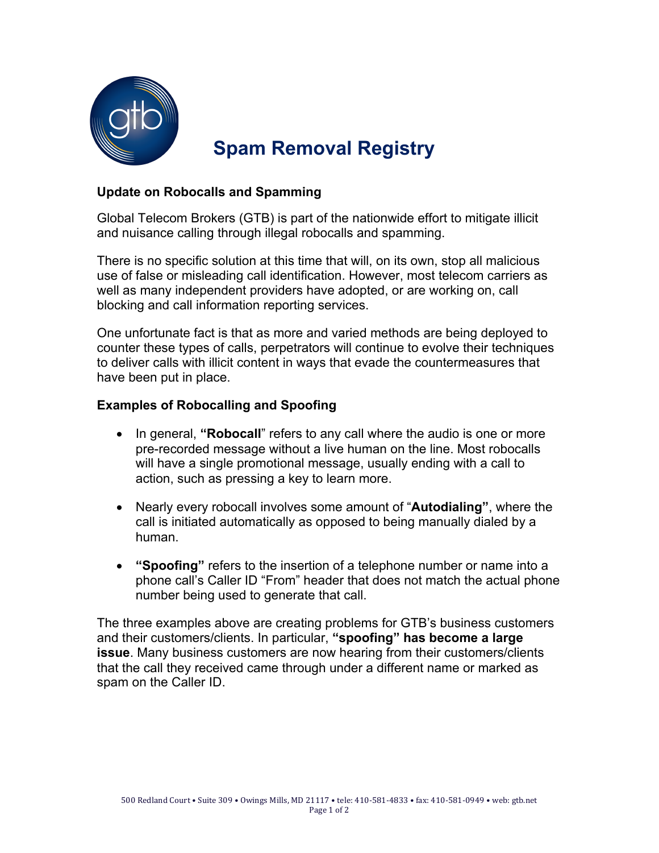

# **Spam Removal Registry**

#### **Update on Robocalls and Spamming**

Global Telecom Brokers (GTB) is part of the nationwide effort to mitigate illicit and nuisance calling through illegal robocalls and spamming.

There is no specific solution at this time that will, on its own, stop all malicious use of false or misleading call identification. However, most telecom carriers as well as many independent providers have adopted, or are working on, call blocking and call information reporting services.

One unfortunate fact is that as more and varied methods are being deployed to counter these types of calls, perpetrators will continue to evolve their techniques to deliver calls with illicit content in ways that evade the countermeasures that have been put in place.

#### **Examples of Robocalling and Spoofing**

- In general, **"Robocall**" refers to any call where the audio is one or more pre-recorded message without a live human on the line. Most robocalls will have a single promotional message, usually ending with a call to action, such as pressing a key to learn more.
- Nearly every robocall involves some amount of "**Autodialing"**, where the call is initiated automatically as opposed to being manually dialed by a human.
- **"Spoofing"** refers to the insertion of a telephone number or name into a phone call's Caller ID "From" header that does not match the actual phone number being used to generate that call.

The three examples above are creating problems for GTB's business customers and their customers/clients. In particular, **"spoofing" has become a large issue**. Many business customers are now hearing from their customers/clients that the call they received came through under a different name or marked as spam on the Caller ID.